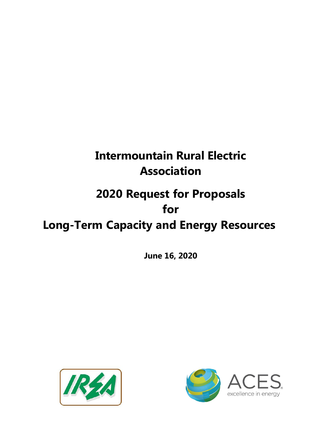# **Intermountain Rural Electric Association**

# **2020 Request for Proposals for**

# **Long-Term Capacity and Energy Resources**

**June 16, 2020**



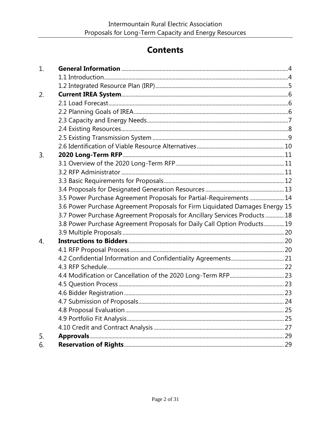# **Contents**

| 1. |                                                                              |  |
|----|------------------------------------------------------------------------------|--|
|    |                                                                              |  |
|    |                                                                              |  |
| 2. |                                                                              |  |
|    |                                                                              |  |
|    |                                                                              |  |
|    |                                                                              |  |
|    |                                                                              |  |
|    |                                                                              |  |
|    |                                                                              |  |
| 3. |                                                                              |  |
|    |                                                                              |  |
|    |                                                                              |  |
|    |                                                                              |  |
|    |                                                                              |  |
|    | 3.5 Power Purchase Agreement Proposals for Partial-Requirements  14          |  |
|    | 3.6 Power Purchase Agreement Proposals for Firm Liquidated Damages Energy 15 |  |
|    | 3.7 Power Purchase Agreement Proposals for Ancillary Services Products  18   |  |
|    | 3.8 Power Purchase Agreement Proposals for Daily Call Option Products 19     |  |
|    |                                                                              |  |
| 4. |                                                                              |  |
|    |                                                                              |  |
|    |                                                                              |  |
|    |                                                                              |  |
|    |                                                                              |  |
|    |                                                                              |  |
|    |                                                                              |  |
|    |                                                                              |  |
|    |                                                                              |  |
|    |                                                                              |  |
|    |                                                                              |  |
| 5. |                                                                              |  |
| 6. |                                                                              |  |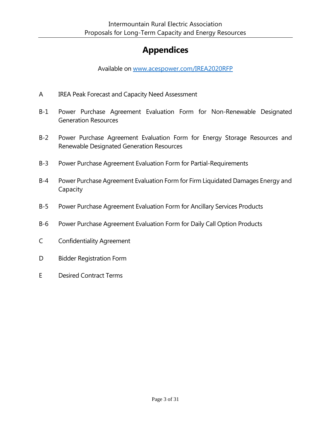# **Appendices**

Available on [www.acespower.com/IREA2020RFP](http://www.acespower.com/IREA2020RFP)

- A IREA Peak Forecast and Capacity Need Assessment
- B-1 Power Purchase Agreement Evaluation Form for Non-Renewable Designated Generation Resources
- B-2 Power Purchase Agreement Evaluation Form for Energy Storage Resources and Renewable Designated Generation Resources
- B-3 Power Purchase Agreement Evaluation Form for Partial-Requirements
- B-4 Power Purchase Agreement Evaluation Form for Firm Liquidated Damages Energy and Capacity
- B-5 Power Purchase Agreement Evaluation Form for Ancillary Services Products
- B-6 Power Purchase Agreement Evaluation Form for Daily Call Option Products
- C Confidentiality Agreement
- D Bidder Registration Form
- E Desired Contract Terms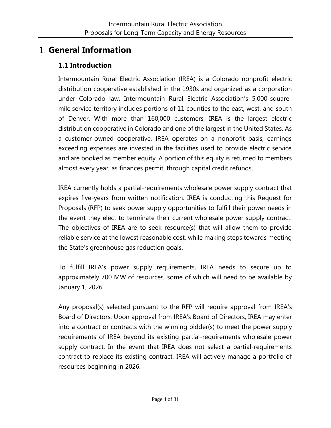## <span id="page-3-1"></span><span id="page-3-0"></span>**General Information**

## **1.1 Introduction**

Intermountain Rural Electric Association (IREA) is a Colorado nonprofit electric distribution cooperative established in the 1930s and organized as a corporation under Colorado law. Intermountain Rural Electric Association's 5,000-squaremile [service territory](https://irea.coop/wp-content/uploads/2017/01/IREAServiceArea.pdf) includes portions of 11 counties to the east, west, and south of Denver. With more than 160,000 customers, IREA is the largest electric distribution cooperative in Colorado and one of the largest in the United States. As a customer-owned cooperative, IREA operates on a nonprofit basis; earnings exceeding expenses are invested in the facilities used to provide electric service and are booked as member equity. A portion of this equity is returned to members almost every year, as finances permit, through [capital credit refunds.](https://irea.coop/capital-credits/)

IREA currently holds a partial-requirements wholesale power supply contract that expires five-years from written notification. IREA is conducting this Request for Proposals (RFP) to seek power supply opportunities to fulfill their power needs in the event they elect to terminate their current wholesale power supply contract. The objectives of IREA are to seek resource(s) that will allow them to provide reliable service at the lowest reasonable cost, while making steps towards meeting the State's greenhouse gas reduction goals.

To fulfill IREA's power supply requirements, IREA needs to secure up to approximately 700 MW of resources, some of which will need to be available by January 1, 2026.

Any proposal(s) selected pursuant to the RFP will require approval from IREA's Board of Directors. Upon approval from IREA's Board of Directors, IREA may enter into a contract or contracts with the winning bidder(s) to meet the power supply requirements of IREA beyond its existing partial-requirements wholesale power supply contract. In the event that IREA does not select a partial-requirements contract to replace its existing contract, IREA will actively manage a portfolio of resources beginning in 2026.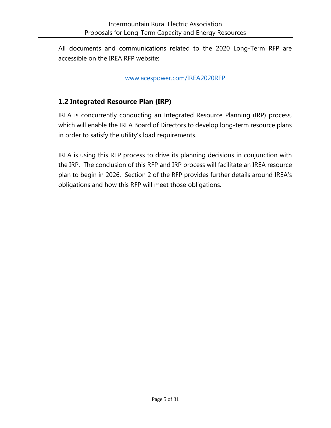All documents and communications related to the 2020 Long-Term RFP are accessible on the IREA RFP website:

[www.a](http://www.acespower.com/IREALTRFP2020)cespower.com/IREA2020RFP

## <span id="page-4-0"></span>**1.2 Integrated Resource Plan (IRP)**

IREA is concurrently conducting an Integrated Resource Planning (IRP) process, which will enable the IREA Board of Directors to develop long-term resource plans in order to satisfy the utility's load requirements.

IREA is using this RFP process to drive its planning decisions in conjunction with the IRP. The conclusion of this RFP and IRP process will facilitate an IREA resource plan to begin in 2026. Section 2 of the RFP provides further details around IREA's obligations and how this RFP will meet those obligations.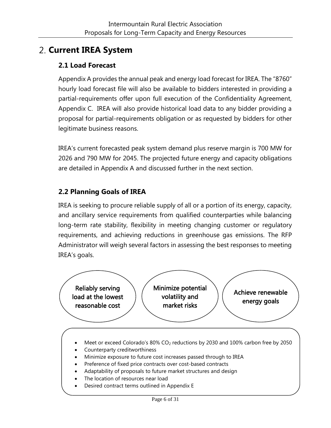# <span id="page-5-0"></span>**Current IREA System**

## <span id="page-5-1"></span>**2.1 Load Forecast**

Appendix A provides the annual peak and energy load forecast for IREA. The "8760" hourly load forecast file will also be available to bidders interested in providing a partial-requirements offer upon full execution of the Confidentiality Agreement, Appendix C. IREA will also provide historical load data to any bidder providing a proposal for partial-requirements obligation or as requested by bidders for other legitimate business reasons.

IREA's current forecasted peak system demand plus reserve margin is 700 MW for 2026 and 790 MW for 2045. The projected future energy and capacity obligations are detailed in Appendix A and discussed further in the next section.

## <span id="page-5-2"></span>**2.2 Planning Goals of IREA**

IREA is seeking to procure reliable supply of all or a portion of its energy, capacity, and ancillary service requirements from qualified counterparties while balancing long-term rate stability, flexibility in meeting changing customer or regulatory requirements, and achieving reductions in greenhouse gas emissions. The RFP Administrator will weigh several factors in assessing the best responses to meeting IREA's goals.



- Meet or exceed Colorado's 80% CO<sup>2</sup> reductions by 2030 and 100% carbon free by 2050
- Counterparty creditworthiness
- Minimize exposure to future cost increases passed through to IREA
- Preference of fixed price contracts over cost-based contracts
- Adaptability of proposals to future market structures and design
- The location of resources near load
- Desired contract terms outlined in Appendix E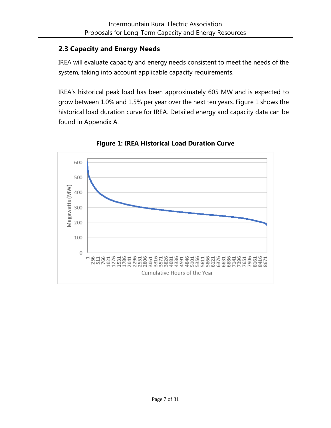## <span id="page-6-0"></span>**2.3 Capacity and Energy Needs**

IREA will evaluate capacity and energy needs consistent to meet the needs of the system, taking into account applicable capacity requirements.

IREA's historical peak load has been approximately 605 MW and is expected to grow between 1.0% and 1.5% per year over the next ten years. Figure 1 shows the historical load duration curve for IREA. Detailed energy and capacity data can be found in Appendix A.



**Figure 1: IREA Historical Load Duration Curve**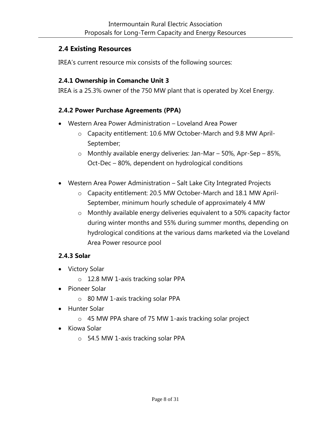## <span id="page-7-0"></span>**2.4 Existing Resources**

IREA's current resource mix consists of the following sources:

## **2.4.1 Ownership in Comanche Unit 3**

IREA is a 25.3% owner of the 750 MW plant that is operated by Xcel Energy.

#### **2.4.2 Power Purchase Agreements (PPA)**

- Western Area Power Administration Loveland Area Power
	- o Capacity entitlement: 10.6 MW October-March and 9.8 MW April-September;
	- o Monthly available energy deliveries: Jan-Mar 50%, Apr-Sep 85%, Oct-Dec – 80%, dependent on hydrological conditions
- Western Area Power Administration Salt Lake City Integrated Projects
	- o Capacity entitlement: 20.5 MW October-March and 18.1 MW April-September, minimum hourly schedule of approximately 4 MW
	- o Monthly available energy deliveries equivalent to a 50% capacity factor during winter months and 55% during summer months, depending on hydrological conditions at the various dams marketed via the Loveland Area Power resource pool

## **2.4.3 Solar**

- Victory Solar
	- o 12.8 MW 1-axis tracking solar PPA
- Pioneer Solar
	- o 80 MW 1-axis tracking solar PPA
- Hunter Solar
	- o 45 MW PPA share of 75 MW 1-axis tracking solar project
- Kiowa Solar
	- o 54.5 MW 1-axis tracking solar PPA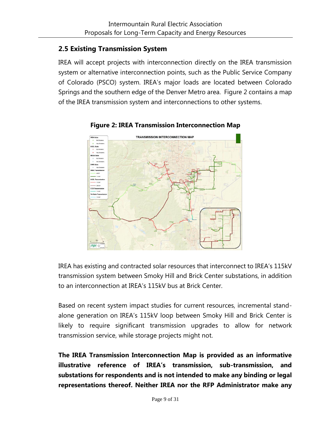## <span id="page-8-0"></span>**2.5 Existing Transmission System**

IREA will accept projects with interconnection directly on the IREA transmission system or alternative interconnection points, such as the Public Service Company of Colorado (PSCO) system. IREA's major loads are located between Colorado Springs and the southern edge of the Denver Metro area. Figure 2 contains a map of the IREA transmission system and interconnections to other systems.



#### **Figure 2: IREA Transmission Interconnection Map**

IREA has existing and contracted solar resources that interconnect to IREA's 115kV transmission system between Smoky Hill and Brick Center substations, in addition to an interconnection at IREA's 115kV bus at Brick Center.

Based on recent system impact studies for current resources, incremental standalone generation on IREA's 115kV loop between Smoky Hill and Brick Center is likely to require significant transmission upgrades to allow for network transmission service, while storage projects might not.

**The IREA Transmission Interconnection Map is provided as an informative illustrative reference of IREA's transmission, sub-transmission, and substations for respondents and is not intended to make any binding or legal representations thereof. Neither IREA nor the RFP Administrator make any**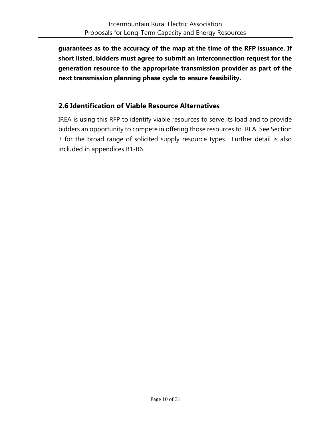**guarantees as to the accuracy of the map at the time of the RFP issuance. If short listed, bidders must agree to submit an interconnection request for the generation resource to the appropriate transmission provider as part of the next transmission planning phase cycle to ensure feasibility.** 

## <span id="page-9-0"></span>**2.6 Identification of Viable Resource Alternatives**

IREA is using this RFP to identify viable resources to serve its load and to provide bidders an opportunity to compete in offering those resources to IREA. See Section 3 for the broad range of solicited supply resource types. Further detail is also included in appendices B1-B6.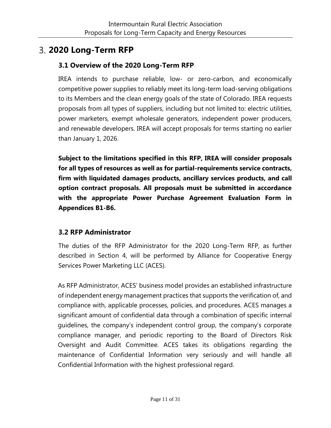## <span id="page-10-0"></span>**2020 Long-Term RFP**

## <span id="page-10-1"></span>**3.1 Overview of the 2020 Long-Term RFP**

IREA intends to purchase reliable, low- or zero-carbon, and economically competitive power supplies to reliably meet its long-term load-serving obligations to its Members and the clean energy goals of the state of Colorado. IREA requests proposals from all types of suppliers, including but not limited to: electric utilities, power marketers, exempt wholesale generators, independent power producers, and renewable developers. IREA will accept proposals for terms starting no earlier than January 1, 2026.

**Subject to the limitations specified in this RFP, IREA will consider proposals for all types of resources as well as for partial-requirements service contracts, firm with liquidated damages products, ancillary services products, and call option contract proposals. All proposals must be submitted in accordance with the appropriate Power Purchase Agreement Evaluation Form in Appendices B1-B6.**

## <span id="page-10-2"></span>**3.2 RFP Administrator**

The duties of the RFP Administrator for the 2020 Long-Term RFP, as further described in Section 4, will be performed by Alliance for Cooperative Energy Services Power Marketing LLC (ACES).

As RFP Administrator, ACES' business model provides an established infrastructure of independent energy management practices that supports the verification of, and compliance with, applicable processes, policies, and procedures. ACES manages a significant amount of confidential data through a combination of specific internal guidelines, the company's independent control group, the company's corporate compliance manager, and periodic reporting to the Board of Directors Risk Oversight and Audit Committee. ACES takes its obligations regarding the maintenance of Confidential Information very seriously and will handle all Confidential Information with the highest professional regard.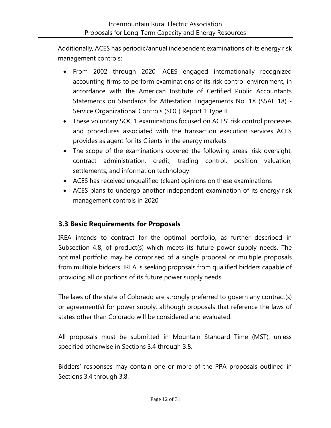Additionally, ACES has periodic/annual independent examinations of its energy risk management controls:

- From 2002 through 2020, ACES engaged internationally recognized accounting firms to perform examinations of its risk control environment, in accordance with the American Institute of Certified Public Accountants Statements on Standards for Attestation Engagements No. 18 (SSAE 18) - Service Organizational Controls (SOC) Report 1 Type II
- These voluntary SOC 1 examinations focused on ACES' risk control processes and procedures associated with the transaction execution services ACES provides as agent for its Clients in the energy markets
- The scope of the examinations covered the following areas: risk oversight, contract administration, credit, trading control, position valuation, settlements, and information technology
- ACES has received unqualified (clean) opinions on these examinations
- ACES plans to undergo another independent examination of its energy risk management controls in 2020

## <span id="page-11-0"></span>**3.3 Basic Requirements for Proposals**

IREA intends to contract for the optimal portfolio, as further described in Subsection 4.8, of product(s) which meets its future power supply needs. The optimal portfolio may be comprised of a single proposal or multiple proposals from multiple bidders. IREA is seeking proposals from qualified bidders capable of providing all or portions of its future power supply needs.

The laws of the state of Colorado are strongly preferred to govern any contract(s) or agreement(s) for power supply, although proposals that reference the laws of states other than Colorado will be considered and evaluated.

All proposals must be submitted in Mountain Standard Time (MST), unless specified otherwise in Sections 3.4 through 3.8.

Bidders' responses may contain one or more of the PPA proposals outlined in Sections 3.4 through 3.8.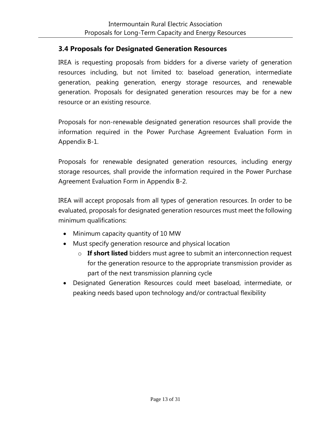#### <span id="page-12-0"></span>**3.4 Proposals for Designated Generation Resources**

IREA is requesting proposals from bidders for a diverse variety of generation resources including, but not limited to: baseload generation, intermediate generation, peaking generation, energy storage resources, and renewable generation. Proposals for designated generation resources may be for a new resource or an existing resource.

Proposals for non-renewable designated generation resources shall provide the information required in the Power Purchase Agreement Evaluation Form in Appendix B-1.

Proposals for renewable designated generation resources, including energy storage resources, shall provide the information required in the Power Purchase Agreement Evaluation Form in Appendix B-2.

IREA will accept proposals from all types of generation resources. In order to be evaluated, proposals for designated generation resources must meet the following minimum qualifications:

- Minimum capacity quantity of 10 MW
- Must specify generation resource and physical location
	- o **If short listed** bidders must agree to submit an interconnection request for the generation resource to the appropriate transmission provider as part of the next transmission planning cycle
- Designated Generation Resources could meet baseload, intermediate, or peaking needs based upon technology and/or contractual flexibility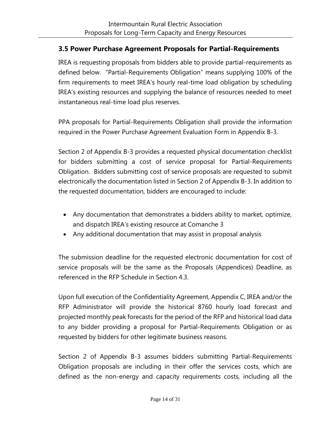#### <span id="page-13-0"></span>**3.5 Power Purchase Agreement Proposals for Partial-Requirements**

IREA is requesting proposals from bidders able to provide partial-requirements as defined below. "Partial-Requirements Obligation" means supplying 100% of the firm requirements to meet IREA's hourly real-time load obligation by scheduling IREA's existing resources and supplying the balance of resources needed to meet instantaneous real-time load plus reserves.

PPA proposals for Partial-Requirements Obligation shall provide the information required in the Power Purchase Agreement Evaluation Form in Appendix B-3.

Section 2 of Appendix B-3 provides a requested physical documentation checklist for bidders submitting a cost of service proposal for Partial-Requirements Obligation. Bidders submitting cost of service proposals are requested to submit electronically the documentation listed in Section 2 of Appendix B-3. In addition to the requested documentation, bidders are encouraged to include:

- Any documentation that demonstrates a bidders ability to market, optimize, and dispatch IREA's existing resource at Comanche 3
- Any additional documentation that may assist in proposal analysis

The submission deadline for the requested electronic documentation for cost of service proposals will be the same as the Proposals (Appendices) Deadline, as referenced in the RFP Schedule in Section 4.3.

Upon full execution of the Confidentiality Agreement, Appendix C, IREA and/or the RFP Administrator will provide the historical 8760 hourly load forecast and projected monthly peak forecasts for the period of the RFP and historical load data to any bidder providing a proposal for Partial-Requirements Obligation or as requested by bidders for other legitimate business reasons.

Section 2 of Appendix B-3 assumes bidders submitting Partial-Requirements Obligation proposals are including in their offer the services costs, which are defined as the non-energy and capacity requirements costs, including all the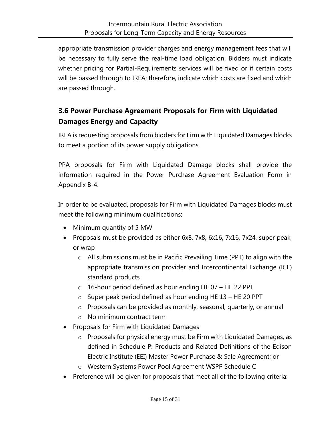appropriate transmission provider charges and energy management fees that will be necessary to fully serve the real-time load obligation. Bidders must indicate whether pricing for Partial-Requirements services will be fixed or if certain costs will be passed through to IREA; therefore, indicate which costs are fixed and which are passed through.

## <span id="page-14-0"></span>**3.6 Power Purchase Agreement Proposals for Firm with Liquidated Damages Energy and Capacity**

IREA is requesting proposals from bidders for Firm with Liquidated Damages blocks to meet a portion of its power supply obligations.

PPA proposals for Firm with Liquidated Damage blocks shall provide the information required in the Power Purchase Agreement Evaluation Form in Appendix B-4.

In order to be evaluated, proposals for Firm with Liquidated Damages blocks must meet the following minimum qualifications:

- Minimum quantity of 5 MW
- Proposals must be provided as either 6x8, 7x8, 6x16, 7x16, 7x24, super peak, or wrap
	- o All submissions must be in Pacific Prevailing Time (PPT) to align with the appropriate transmission provider and Intercontinental Exchange (ICE) standard products
	- o 16-hour period defined as hour ending HE 07 HE 22 PPT
	- o Super peak period defined as hour ending HE 13 HE 20 PPT
	- o Proposals can be provided as monthly, seasonal, quarterly, or annual
	- o No minimum contract term
- Proposals for Firm with Liquidated Damages
	- o Proposals for physical energy must be Firm with Liquidated Damages, as defined in Schedule P: Products and Related Definitions of the Edison Electric Institute (EEI) Master Power Purchase & Sale Agreement; or
	- o Western Systems Power Pool Agreement WSPP Schedule C
- Preference will be given for proposals that meet all of the following criteria: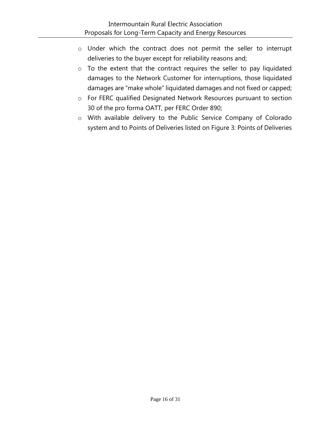- o Under which the contract does not permit the seller to interrupt deliveries to the buyer except for reliability reasons and;
- o To the extent that the contract requires the seller to pay liquidated damages to the Network Customer for interruptions, those liquidated damages are "make whole" liquidated damages and not fixed or capped;
- o For FERC qualified Designated Network Resources pursuant to section 30 of the pro forma OATT, per FERC Order 890;
- o With available delivery to the Public Service Company of Colorado system and to Points of Deliveries listed on Figure 3: Points of Deliveries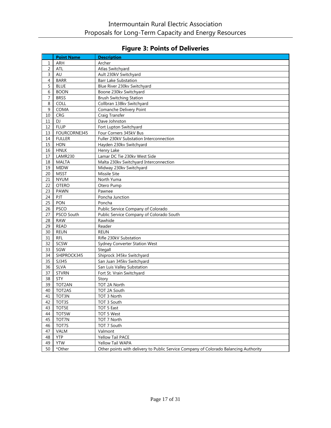## **Figure 3: Points of Deliveries**

|                | <b>Point Name</b> | <b>Description</b>                                                                   |
|----------------|-------------------|--------------------------------------------------------------------------------------|
| 1              | ARH               | Archer                                                                               |
| $\overline{2}$ | ATL               | Atlas Switchyard                                                                     |
| $\overline{3}$ | AU                | Ault 230kV Switchyard                                                                |
| $\overline{4}$ | <b>BARR</b>       | <b>Barr Lake Substation</b>                                                          |
| 5              | <b>BLUE</b>       | Blue River 230kv Switchyard                                                          |
| 6              | <b>BOON</b>       | Boone 230kv Switchyard                                                               |
| $\overline{7}$ | <b>BRSS</b>       | <b>Brush Switching Station</b>                                                       |
| 8              | COLL              | Collbran 138kv Switchyard                                                            |
| 9              | COMA              | Comanche Delivery Point                                                              |
| 10             | <b>CRG</b>        | Craig Transfer                                                                       |
| 11             | DJ.               | Dave Johnston                                                                        |
| 12             | <b>FLUP</b>       | Fort Lupton Switchyard                                                               |
| 13             | FOURCORNE345      | Four Corners 345kV Bus                                                               |
| 14             | <b>FULLER</b>     | Fuller 230kV Substation Interconnection                                              |
| 15             | <b>HDN</b>        | Hayden 230kv Switchyard                                                              |
| 16             | <b>HNLK</b>       | Henry Lake                                                                           |
| 17             | <b>LAMR230</b>    | Lamar DC Tie 230kv West Side                                                         |
| 18             | <b>MALTA</b>      | Malta 230kv Switchyard Interconnection                                               |
| 19             | <b>MIDW</b>       | Midway 230kv Switchyard                                                              |
| 20             | <b>MSST</b>       | Missile Site                                                                         |
| 21             | <b>NYUM</b>       | North Yuma                                                                           |
| 22             | <b>OTERO</b>      | Otero Pump                                                                           |
| 23             | PAWN              | Pawnee                                                                               |
| 24             | PJT               | Poncha Junction                                                                      |
| 25             | PON               | Poncha                                                                               |
| 26             | <b>PSCO</b>       | Public Service Company of Colorado                                                   |
| 27             | PSCO South        | Public Service Company of Colorado South                                             |
| 28             | <b>RAW</b>        | Rawhide                                                                              |
| 29             | <b>READ</b>       | Reader                                                                               |
| 30             | <b>REUN</b>       | <b>REUN</b>                                                                          |
| 31             | <b>RFL</b>        | Rifle 230kV Substation                                                               |
| 32             | SCSW              | <b>Sydney Converter Station West</b>                                                 |
| 33             | SGW               | Stegall                                                                              |
| 34             | SHIPROCK345       | Shiprock 345kv Switchyard                                                            |
| 35             | SJ345             | San Juan 345kv Switchyard                                                            |
| 36             | SLVA              | San Luis Valley Substation                                                           |
| 37             | <b>STVRN</b>      | Fort St. Vrain Switchyard                                                            |
| 38             | STY               | Story                                                                                |
| 39             | TOT2AN            | TOT 2A North                                                                         |
| 40             | TOT2AS            | TOT 2A South                                                                         |
| 41             | TOT3N             | TOT 3 North                                                                          |
| 42             | TOT3S             | TOT 3 South                                                                          |
| 43             | TOT5E             | TOT 5 East                                                                           |
| 44             | TOT5W             | TOT 5 West                                                                           |
| 45             | TOT7N             | TOT 7 North                                                                          |
| 46             | TOT7S             | TOT 7 South                                                                          |
| 47             | VALM              | Valmont                                                                              |
| 48             | <b>YTP</b>        | Yellow Tail PACE                                                                     |
| 49             | <b>YTW</b>        | Yellow Tail WAPA                                                                     |
| 50             | *Other            | Other points with delivery to Public Service Company of Colorado Balancing Authority |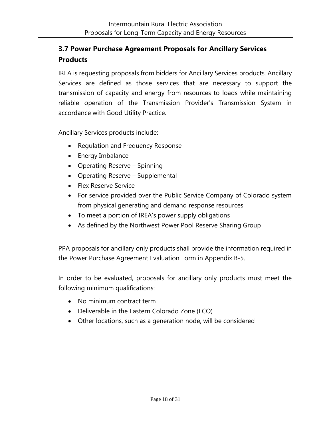## <span id="page-17-0"></span>**3.7 Power Purchase Agreement Proposals for Ancillary Services Products**

IREA is requesting proposals from bidders for Ancillary Services products. Ancillary Services are defined as those services that are necessary to support the transmission of capacity and energy from resources to loads while maintaining reliable operation of the Transmission Provider's Transmission System in accordance with Good Utility Practice.

Ancillary Services products include:

- Regulation and Frequency Response
- Energy Imbalance
- Operating Reserve Spinning
- Operating Reserve Supplemental
- Flex Reserve Service
- For service provided over the Public Service Company of Colorado system from physical generating and demand response resources
- To meet a portion of IREA's power supply obligations
- As defined by the Northwest Power Pool Reserve Sharing Group

PPA proposals for ancillary only products shall provide the information required in the Power Purchase Agreement Evaluation Form in Appendix B-5.

In order to be evaluated, proposals for ancillary only products must meet the following minimum qualifications:

- No minimum contract term
- Deliverable in the Eastern Colorado Zone (ECO)
- Other locations, such as a generation node, will be considered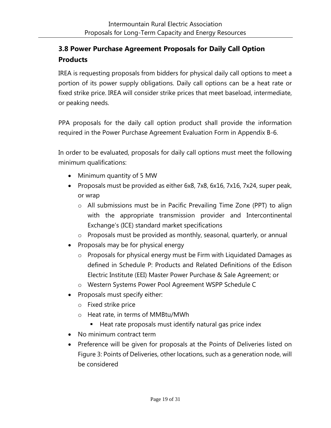## <span id="page-18-0"></span>**3.8 Power Purchase Agreement Proposals for Daily Call Option Products**

IREA is requesting proposals from bidders for physical daily call options to meet a portion of its power supply obligations. Daily call options can be a heat rate or fixed strike price. IREA will consider strike prices that meet baseload, intermediate, or peaking needs.

PPA proposals for the daily call option product shall provide the information required in the Power Purchase Agreement Evaluation Form in Appendix B-6.

In order to be evaluated, proposals for daily call options must meet the following minimum qualifications:

- Minimum quantity of 5 MW
- Proposals must be provided as either 6x8, 7x8, 6x16, 7x16, 7x24, super peak, or wrap
	- o All submissions must be in Pacific Prevailing Time Zone (PPT) to align with the appropriate transmission provider and Intercontinental Exchange's (ICE) standard market specifications
	- o Proposals must be provided as monthly, seasonal, quarterly, or annual
- Proposals may be for physical energy
	- o Proposals for physical energy must be Firm with Liquidated Damages as defined in Schedule P: Products and Related Definitions of the Edison Electric Institute (EEI) Master Power Purchase & Sale Agreement; or
	- o Western Systems Power Pool Agreement WSPP Schedule C
- Proposals must specify either:
	- o Fixed strike price
	- o Heat rate, in terms of MMBtu/MWh
		- Heat rate proposals must identify natural gas price index
- No minimum contract term
- Preference will be given for proposals at the Points of Deliveries listed on Figure 3: Points of Deliveries, other locations, such as a generation node, will be considered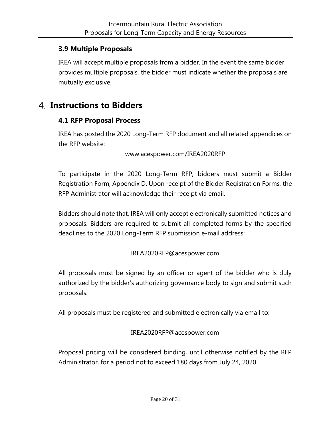## <span id="page-19-0"></span>**3.9 Multiple Proposals**

IREA will accept multiple proposals from a bidder. In the event the same bidder provides multiple proposals, the bidder must indicate whether the proposals are mutually exclusive.

## <span id="page-19-2"></span><span id="page-19-1"></span>**Instructions to Bidders**

#### **4.1 RFP Proposal Process**

IREA has posted the 2020 Long-Term RFP document and all related appendices on the RFP website:

#### www.acespower.com/IREA2020RFP

To participate in the 2020 Long-Term RFP, bidders must submit a Bidder Registration Form, Appendix D. Upon receipt of the Bidder Registration Forms, the RFP Administrator will acknowledge their receipt via email.

Bidders should note that, IREA will only accept electronically submitted notices and proposals. Bidders are required to submit all completed forms by the specified deadlines to the 2020 Long-Term RFP submission e-mail address:

#### IREA2020RFP@acespower.com

All proposals must be signed by an officer or agent of the bidder who is duly authorized by the bidder's authorizing governance body to sign and submit such proposals.

All proposals must be registered and submitted electronically via email to:

#### IREA2020RFP@acespower.com

Proposal pricing will be considered binding, until otherwise notified by the RFP Administrator, for a period not to exceed 180 days from July 24, 2020.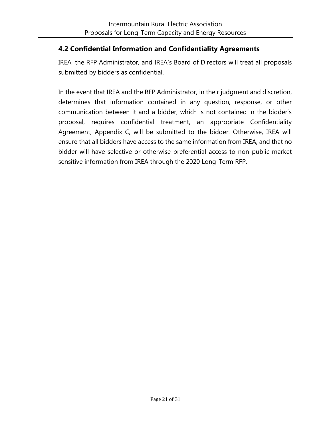## <span id="page-20-0"></span>**4.2 Confidential Information and Confidentiality Agreements**

IREA, the RFP Administrator, and IREA's Board of Directors will treat all proposals submitted by bidders as confidential.

In the event that IREA and the RFP Administrator, in their judgment and discretion, determines that information contained in any question, response, or other communication between it and a bidder, which is not contained in the bidder's proposal, requires confidential treatment, an appropriate Confidentiality Agreement, Appendix C, will be submitted to the bidder. Otherwise, IREA will ensure that all bidders have access to the same information from IREA, and that no bidder will have selective or otherwise preferential access to non-public market sensitive information from IREA through the 2020 Long-Term RFP.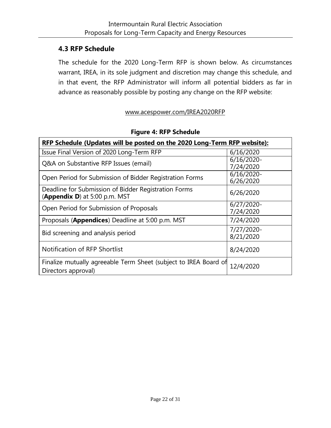#### <span id="page-21-0"></span>**4.3 RFP Schedule**

The schedule for the 2020 Long-Term RFP is shown below. As circumstances warrant, IREA, in its sole judgment and discretion may change this schedule, and in that event, the RFP Administrator will inform all potential bidders as far in advance as reasonably possible by posting any change on the RFP website:

#### www.acespower.com/IREA2020RFP

| <b>RFP Schedule (Updates will be posted on the 2020 Long-Term RFP website):</b>         |                            |  |  |  |  |
|-----------------------------------------------------------------------------------------|----------------------------|--|--|--|--|
| Issue Final Version of 2020 Long-Term RFP                                               | 6/16/2020                  |  |  |  |  |
| Q&A on Substantive RFP Issues (email)                                                   | $6/16/2020$ -<br>7/24/2020 |  |  |  |  |
| Open Period for Submission of Bidder Registration Forms                                 | $6/16/2020$ -<br>6/26/2020 |  |  |  |  |
| Deadline for Submission of Bidder Registration Forms<br>(Appendix D) at 5:00 p.m. MST   | 6/26/2020                  |  |  |  |  |
| Open Period for Submission of Proposals                                                 | $6/27/2020$ -<br>7/24/2020 |  |  |  |  |
| Proposals (Appendices) Deadline at 5:00 p.m. MST                                        | 7/24/2020                  |  |  |  |  |
| Bid screening and analysis period                                                       | 7/27/2020-<br>8/21/2020    |  |  |  |  |
| Notification of RFP Shortlist                                                           | 8/24/2020                  |  |  |  |  |
| Finalize mutually agreeable Term Sheet (subject to IREA Board of<br>Directors approval) | 12/4/2020                  |  |  |  |  |

#### **Figure 4: RFP Schedule**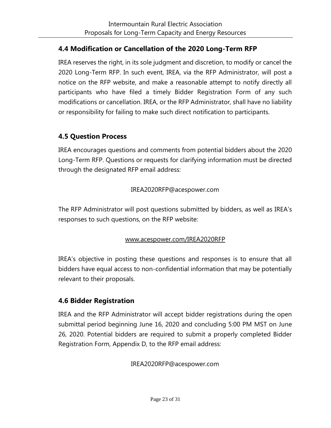## <span id="page-22-0"></span>**4.4 Modification or Cancellation of the 2020 Long-Term RFP**

IREA reserves the right, in its sole judgment and discretion, to modify or cancel the 2020 Long-Term RFP. In such event, IREA, via the RFP Administrator, will post a notice on the RFP website, and make a reasonable attempt to notify directly all participants who have filed a timely Bidder Registration Form of any such modifications or cancellation. IREA, or the RFP Administrator, shall have no liability or responsibility for failing to make such direct notification to participants.

## <span id="page-22-1"></span>**4.5 Question Process**

IREA encourages questions and comments from potential bidders about the 2020 Long-Term RFP. Questions or requests for clarifying information must be directed through the designated RFP email address:

#### IREA2020RFP@acespower.com

The RFP Administrator will post questions submitted by bidders, as well as IREA's responses to such questions, on the RFP website:

#### www.acespower.com/IREA2020RFP

IREA's objective in posting these questions and responses is to ensure that all bidders have equal access to non-confidential information that may be potentially relevant to their proposals.

## <span id="page-22-2"></span>**4.6 Bidder Registration**

IREA and the RFP Administrator will accept bidder registrations during the open submittal period beginning June 16, 2020 and concluding 5:00 PM MST on June 26, 2020. Potential bidders are required to submit a properly completed Bidder Registration Form, Appendix D, to the RFP email address:

IREA2020RFP@acespower.com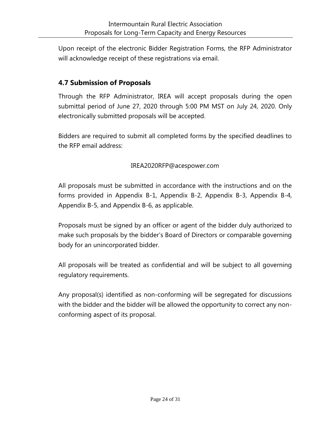Upon receipt of the electronic Bidder Registration Forms, the RFP Administrator will acknowledge receipt of these registrations via email.

## <span id="page-23-0"></span>**4.7 Submission of Proposals**

Through the RFP Administrator, IREA will accept proposals during the open submittal period of June 27, 2020 through 5:00 PM MST on July 24, 2020. Only electronically submitted proposals will be accepted.

Bidders are required to submit all completed forms by the specified deadlines to the RFP email address:

#### IREA2020RFP@acespower.com

All proposals must be submitted in accordance with the instructions and on the forms provided in Appendix B-1, Appendix B-2, Appendix B-3, Appendix B-4, Appendix B-5, and Appendix B-6, as applicable.

Proposals must be signed by an officer or agent of the bidder duly authorized to make such proposals by the bidder's Board of Directors or comparable governing body for an unincorporated bidder.

All proposals will be treated as confidential and will be subject to all governing regulatory requirements.

<span id="page-23-1"></span>Any proposal(s) identified as non-conforming will be segregated for discussions with the bidder and the bidder will be allowed the opportunity to correct any nonconforming aspect of its proposal.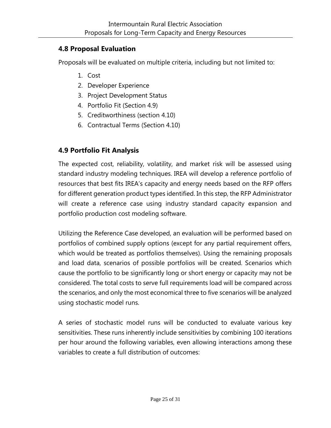## **4.8 Proposal Evaluation**

Proposals will be evaluated on multiple criteria, including but not limited to:

- 1. Cost
- 2. Developer Experience
- 3. Project Development Status
- 4. Portfolio Fit (Section 4.9)
- 5. Creditworthiness (section 4.10)
- 6. Contractual Terms (Section 4.10)

## <span id="page-24-0"></span>**4.9 Portfolio Fit Analysis**

The expected cost, reliability, volatility, and market risk will be assessed using standard industry modeling techniques. IREA will develop a reference portfolio of resources that best fits IREA's capacity and energy needs based on the RFP offers for different generation product types identified. In this step, the RFP Administrator will create a reference case using industry standard capacity expansion and portfolio production cost modeling software.

Utilizing the Reference Case developed, an evaluation will be performed based on portfolios of combined supply options (except for any partial requirement offers, which would be treated as portfolios themselves). Using the remaining proposals and load data, scenarios of possible portfolios will be created. Scenarios which cause the portfolio to be significantly long or short energy or capacity may not be considered. The total costs to serve full requirements load will be compared across the scenarios, and only the most economical three to five scenarios will be analyzed using stochastic model runs.

A series of stochastic model runs will be conducted to evaluate various key sensitivities. These runs inherently include sensitivities by combining 100 iterations per hour around the following variables, even allowing interactions among these variables to create a full distribution of outcomes: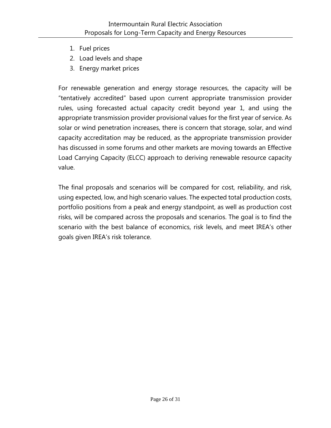- 1. Fuel prices
- 2. Load levels and shape
- 3. Energy market prices

For renewable generation and energy storage resources, the capacity will be "tentatively accredited" based upon current appropriate transmission provider rules, using forecasted actual capacity credit beyond year 1, and using the appropriate transmission provider provisional values for the first year of service. As solar or wind penetration increases, there is concern that storage, solar, and wind capacity accreditation may be reduced, as the appropriate transmission provider has discussed in some forums and other markets are moving towards an Effective Load Carrying Capacity (ELCC) approach to deriving renewable resource capacity value.

The final proposals and scenarios will be compared for cost, reliability, and risk, using expected, low, and high scenario values. The expected total production costs, portfolio positions from a peak and energy standpoint, as well as production cost risks, will be compared across the proposals and scenarios. The goal is to find the scenario with the best balance of economics, risk levels, and meet IREA's other goals given IREA's risk tolerance.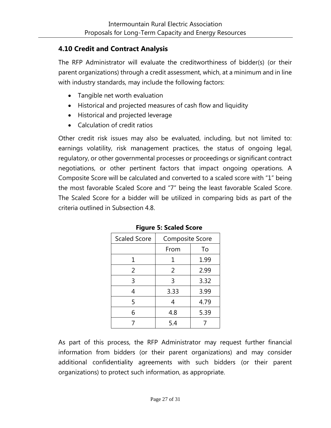#### <span id="page-26-0"></span>**4.10 Credit and Contract Analysis**

The RFP Administrator will evaluate the creditworthiness of bidder(s) (or their parent organizations) through a credit assessment, which, at a minimum and in line with industry standards, may include the following factors:

- Tangible net worth evaluation
- Historical and projected measures of cash flow and liquidity
- Historical and projected leverage
- Calculation of credit ratios

Other credit risk issues may also be evaluated, including, but not limited to: earnings volatility, risk management practices, the status of ongoing legal, regulatory, or other governmental processes or proceedings or significant contract negotiations, or other pertinent factors that impact ongoing operations. A Composite Score will be calculated and converted to a scaled score with "1" being the most favorable Scaled Score and "7" being the least favorable Scaled Score. The Scaled Score for a bidder will be utilized in comparing bids as part of the criteria outlined in Subsection 4.8.

| <b>Scaled Score</b> | <b>Composite Score</b> |      |
|---------------------|------------------------|------|
|                     | From                   | To   |
|                     | 1                      | 1.99 |
| 2                   | 2                      | 2.99 |
| 3                   | 3                      | 3.32 |
| 4                   | 3.33                   | 3.99 |
| 5                   | 4                      | 4.79 |
| 6                   | 4.8                    | 5.39 |
|                     | 5.4                    |      |

**Figure 5: Scaled Score**

As part of this process, the RFP Administrator may request further financial information from bidders (or their parent organizations) and may consider additional confidentiality agreements with such bidders (or their parent organizations) to protect such information, as appropriate.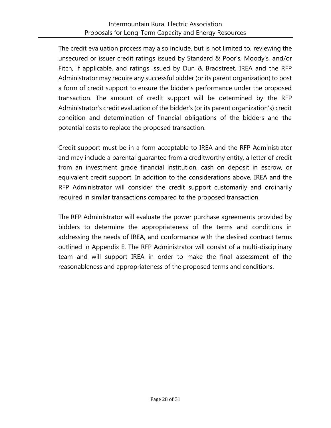The credit evaluation process may also include, but is not limited to, reviewing the unsecured or issuer credit ratings issued by Standard & Poor's, Moody's, and/or Fitch, if applicable, and ratings issued by Dun & Bradstreet. IREA and the RFP Administrator may require any successful bidder (or its parent organization) to post a form of credit support to ensure the bidder's performance under the proposed transaction. The amount of credit support will be determined by the RFP Administrator's credit evaluation of the bidder's (or its parent organization's) credit condition and determination of financial obligations of the bidders and the potential costs to replace the proposed transaction.

Credit support must be in a form acceptable to IREA and the RFP Administrator and may include a parental guarantee from a creditworthy entity, a letter of credit from an investment grade financial institution, cash on deposit in escrow, or equivalent credit support. In addition to the considerations above, IREA and the RFP Administrator will consider the credit support customarily and ordinarily required in similar transactions compared to the proposed transaction.

The RFP Administrator will evaluate the power purchase agreements provided by bidders to determine the appropriateness of the terms and conditions in addressing the needs of IREA, and conformance with the desired contract terms outlined in Appendix E. The RFP Administrator will consist of a multi-disciplinary team and will support IREA in order to make the final assessment of the reasonableness and appropriateness of the proposed terms and conditions.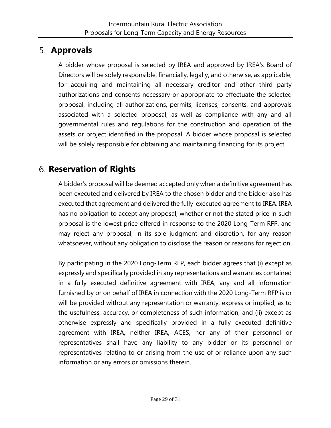# <span id="page-28-0"></span>**Approvals**

A bidder whose proposal is selected by IREA and approved by IREA's Board of Directors will be solely responsible, financially, legally, and otherwise, as applicable, for acquiring and maintaining all necessary creditor and other third party authorizations and consents necessary or appropriate to effectuate the selected proposal, including all authorizations, permits, licenses, consents, and approvals associated with a selected proposal, as well as compliance with any and all governmental rules and regulations for the construction and operation of the assets or project identified in the proposal. A bidder whose proposal is selected will be solely responsible for obtaining and maintaining financing for its project.

# <span id="page-28-1"></span>**Reservation of Rights**

A bidder's proposal will be deemed accepted only when a definitive agreement has been executed and delivered by IREA to the chosen bidder and the bidder also has executed that agreement and delivered the fully-executed agreement to IREA. IREA has no obligation to accept any proposal, whether or not the stated price in such proposal is the lowest price offered in response to the 2020 Long-Term RFP, and may reject any proposal, in its sole judgment and discretion, for any reason whatsoever, without any obligation to disclose the reason or reasons for rejection.

By participating in the 2020 Long-Term RFP, each bidder agrees that (i) except as expressly and specifically provided in any representations and warranties contained in a fully executed definitive agreement with IREA, any and all information furnished by or on behalf of IREA in connection with the 2020 Long-Term RFP is or will be provided without any representation or warranty, express or implied, as to the usefulness, accuracy, or completeness of such information, and (ii) except as otherwise expressly and specifically provided in a fully executed definitive agreement with IREA, neither IREA, ACES, nor any of their personnel or representatives shall have any liability to any bidder or its personnel or representatives relating to or arising from the use of or reliance upon any such information or any errors or omissions therein.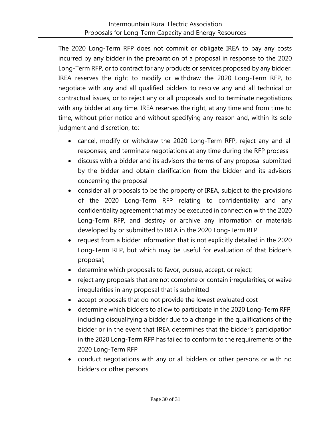The 2020 Long-Term RFP does not commit or obligate IREA to pay any costs incurred by any bidder in the preparation of a proposal in response to the 2020 Long-Term RFP, or to contract for any products or services proposed by any bidder. IREA reserves the right to modify or withdraw the 2020 Long-Term RFP, to negotiate with any and all qualified bidders to resolve any and all technical or contractual issues, or to reject any or all proposals and to terminate negotiations with any bidder at any time. IREA reserves the right, at any time and from time to time, without prior notice and without specifying any reason and, within its sole judgment and discretion, to:

- cancel, modify or withdraw the 2020 Long-Term RFP, reject any and all responses, and terminate negotiations at any time during the RFP process
- discuss with a bidder and its advisors the terms of any proposal submitted by the bidder and obtain clarification from the bidder and its advisors concerning the proposal
- consider all proposals to be the property of IREA, subject to the provisions of the 2020 Long-Term RFP relating to confidentiality and any confidentiality agreement that may be executed in connection with the 2020 Long-Term RFP, and destroy or archive any information or materials developed by or submitted to IREA in the 2020 Long-Term RFP
- request from a bidder information that is not explicitly detailed in the 2020 Long-Term RFP, but which may be useful for evaluation of that bidder's proposal;
- determine which proposals to favor, pursue, accept, or reject;
- reject any proposals that are not complete or contain irregularities, or waive irregularities in any proposal that is submitted
- accept proposals that do not provide the lowest evaluated cost
- determine which bidders to allow to participate in the 2020 Long-Term RFP, including disqualifying a bidder due to a change in the qualifications of the bidder or in the event that IREA determines that the bidder's participation in the 2020 Long-Term RFP has failed to conform to the requirements of the 2020 Long-Term RFP
- conduct negotiations with any or all bidders or other persons or with no bidders or other persons